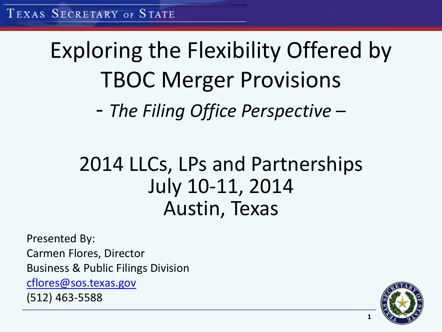### Exploring the Flexibility Offered by TBOC Merger Provisions - *The Filing Office Perspective* –

### 2014 LLCs, LPs and Partnerships July 10-11, 2014 Austin, Texas

Presented By:

Carmen Flores, Director

Business & Public Filings Division

[cflores@sos.texas.gov](mailto:cflores@sos.texas.gov)

(512) 463-5588

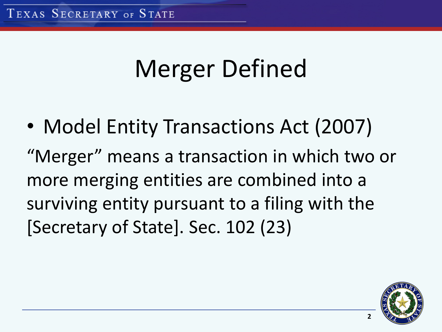# Merger Defined

• Model Entity Transactions Act (2007) "Merger" means a transaction in which two or more merging entities are combined into a surviving entity pursuant to a filing with the [Secretary of State]. Sec. 102 (23)

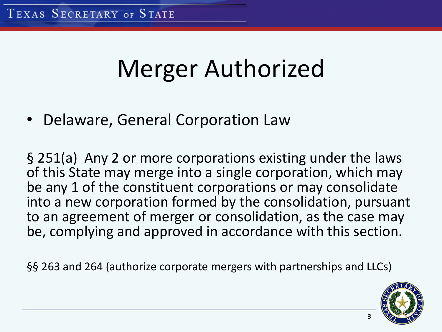### Merger Authorized

• Delaware, General Corporation Law

§ 251(a) Any 2 or more corporations existing under the laws of this State may merge into a single corporation, which may be any 1 of the constituent corporations or may consolidate into a new corporation formed by the consolidation, pursuant to an agreement of merger or consolidation, as the case may be, complying and approved in accordance with this section.

§§ 263 and 264 (authorize corporate mergers with partnerships and LLCs)

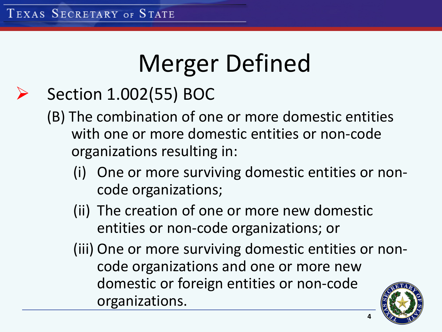# Merger Defined

### Section 1.002(55) BOC

- (B) The combination of one or more domestic entities with one or more domestic entities or non-code organizations resulting in:
	- (i) One or more surviving domestic entities or noncode organizations;
	- (ii) The creation of one or more new domestic entities or non-code organizations; or
	- (iii) One or more surviving domestic entities or noncode organizations and one or more new domestic or foreign entities or non-code organizations.

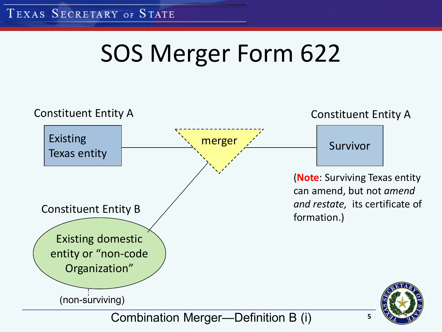# SOS Merger Form 622

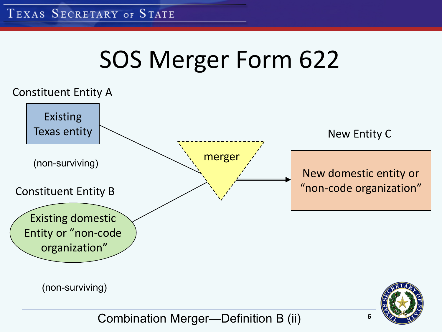# SOS Merger Form 622



Combination Merger—Definition B (ii)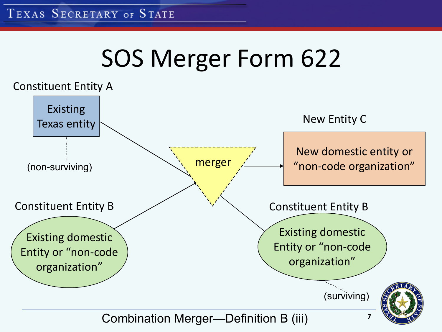## SOS Merger Form 622



Combination Merger—Definition B (iii)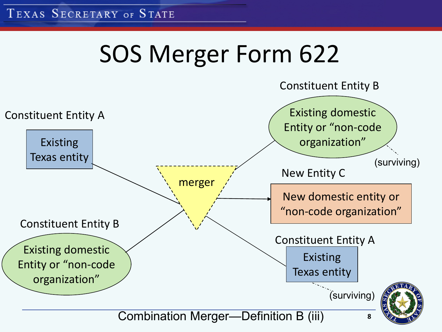# SOS Merger Form 622

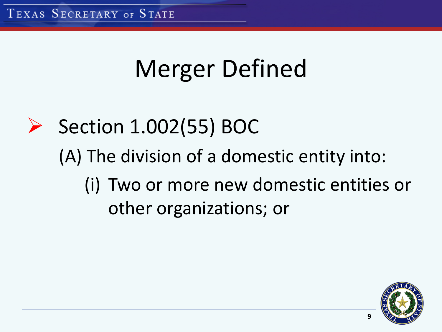# Merger Defined

 $\triangleright$  Section 1.002(55) BOC (A) The division of a domestic entity into: (i) Two or more new domestic entities or other organizations; or

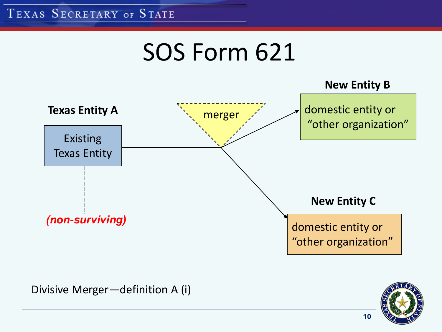



Divisive Merger—definition A (i)

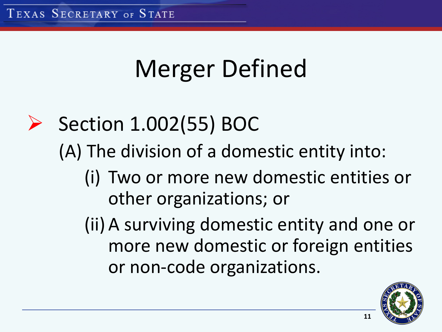# Merger Defined

- $\triangleright$  Section 1.002(55) BOC (A) The division of a domestic entity into:
	- (i) Two or more new domestic entities or other organizations; or

(ii) A surviving domestic entity and one or more new domestic or foreign entities or non-code organizations.

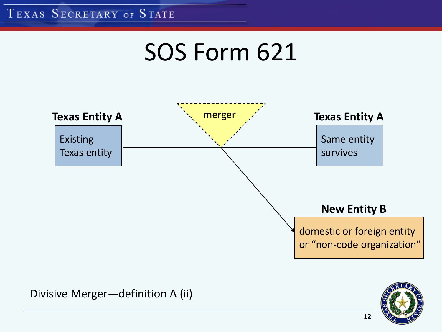### SOS Form 621



**12**

Divisive Merger—definition A (ii)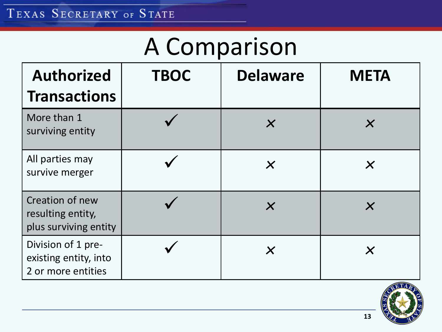## A Comparison

| <b>Authorized</b><br><b>Transactions</b>                          | <b>TBOC</b> | <b>Delaware</b>           | <b>META</b>               |
|-------------------------------------------------------------------|-------------|---------------------------|---------------------------|
| More than 1<br>surviving entity                                   |             | $\boldsymbol{\mathsf{X}}$ | $\boldsymbol{\mathsf{X}}$ |
| All parties may<br>survive merger                                 |             | $\boldsymbol{\mathsf{X}}$ | $\boldsymbol{\mathsf{X}}$ |
| Creation of new<br>resulting entity,<br>plus surviving entity     |             | $\boldsymbol{\mathsf{X}}$ | $\boldsymbol{\mathsf{X}}$ |
| Division of 1 pre-<br>existing entity, into<br>2 or more entities |             | $\boldsymbol{\mathsf{X}}$ | $\boldsymbol{\times}$     |

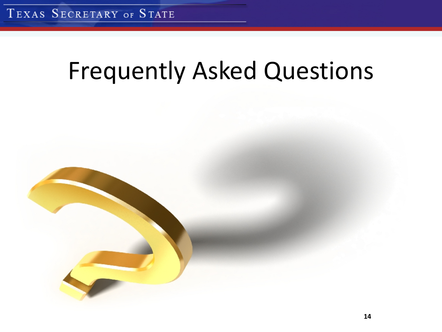### Frequently Asked Questions

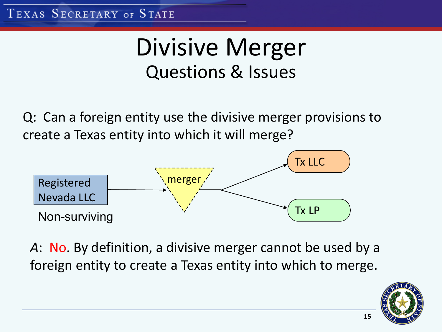### Divisive Merger Questions & Issues

Q: Can a foreign entity use the divisive merger provisions to create a Texas entity into which it will merge?



*A*: No. By definition, a divisive merger cannot be used by a foreign entity to create a Texas entity into which to merge.

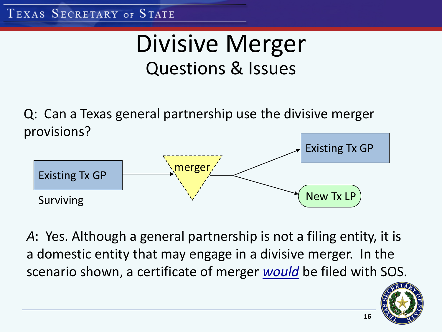### Divisive Merger Questions & Issues

Q: Can a Texas general partnership use the divis ive merger provisions?



*A*: Yes. Although a general partnership is not a filing entity, it is a domestic entity that may engage in a divisive merger. In the scenario shown, a certificate of merger *would* be filed with SOS.

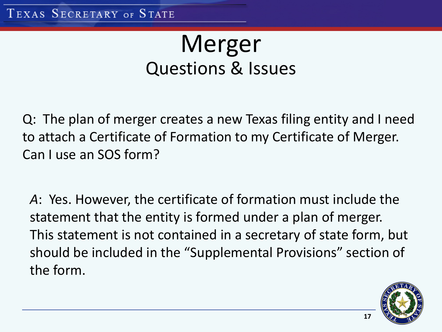### Merger Questions & Issues

Q: The plan of merger creates a new Texas filing entity and I need to attach a Certificate of Formation to my Certificate of Merger. Can I use an SOS form?

*A*: Yes. However, the certificate of formation must include the statement that the entity is formed under a plan of merger. This statement is not contained in a secretary of state form, but should be included in the "Supplemental Provisions" section of the form.

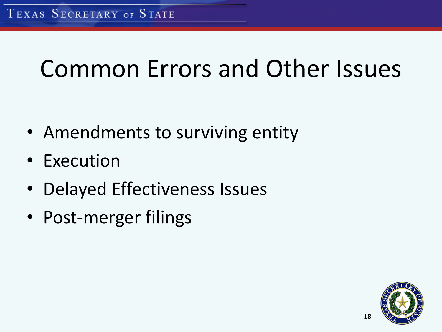## Common Errors and Other Issues

- Amendments to surviving entity
- Execution
- Delayed Effectiveness Issues
- Post-merger filings

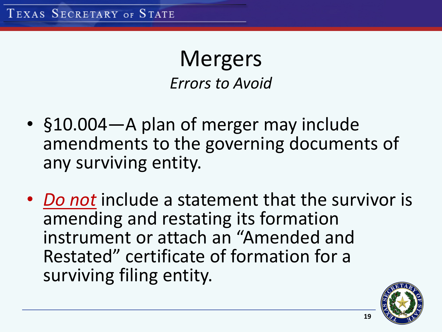**Mergers** *Errors to Avoid*

- §10.004—A plan of merger may include amendments to the governing documents of any surviving entity.
- *Do not* include a statement that the survivor is amending and restating its formation instrument or attach an "Amended and Restated" certificate of formation for a surviving filing entity.

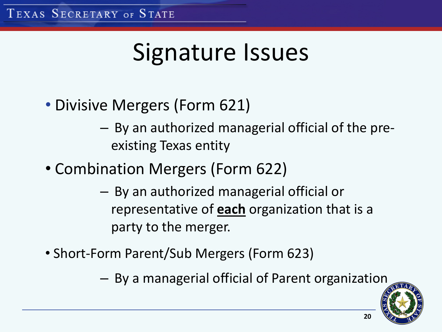## Signature Issues

- Divisive Mergers (Form 621)
	- By an authorized managerial official of the preexisting Texas entity
- Combination Mergers (Form 622)
	- By an authorized managerial official or representative of **each** organization that is a party to the merger.
- Short-Form Parent/Sub Mergers (Form 623)
	- By a managerial official of Parent organization

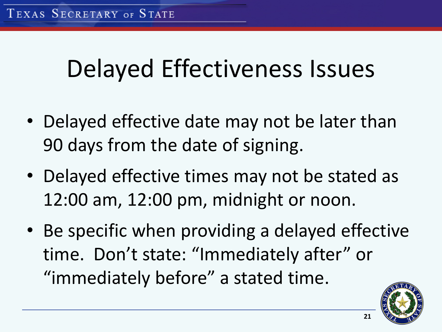## Delayed Effectiveness Issues

- Delayed effective date may not be later than 90 days from the date of signing.
- Delayed effective times may not be stated as 12:00 am, 12:00 pm, midnight or noon.
- Be specific when providing a delayed effective time. Don't state: "Immediately after" or "immediately before" a stated time.

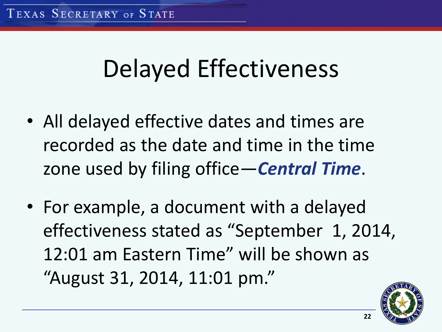### Delayed Effectiveness

- All delayed effective dates and times are recorded as the date and time in the time zone used by filing office—*Central Time*.
- For example, a document with a delayed effectiveness stated as "September 1, 2014, 12:01 am Eastern Time" will be shown as "August 31, 2014, 11:01 pm."

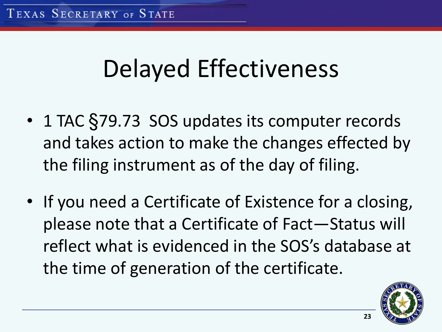## Delayed Effectiveness

- 1 TAC §79.73 SOS updates its computer records and takes action to make the changes effected by the filing instrument as of the day of filing.
- If you need a Certificate of Existence for a closing, please note that a Certificate of Fact—Status will reflect what is evidenced in the SOS's database at the time of generation of the certificate.

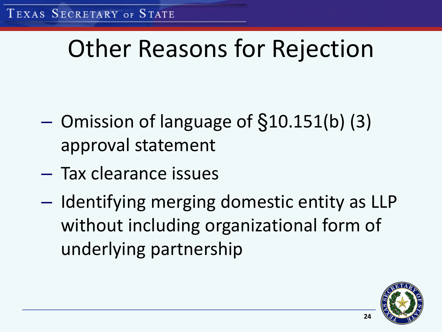# Other Reasons for Rejection

- Omission of language of §10.151(b) (3) approval statement
- Tax clearance issues
- Identifying merging domestic entity as LLP without including organizational form of underlying partnership

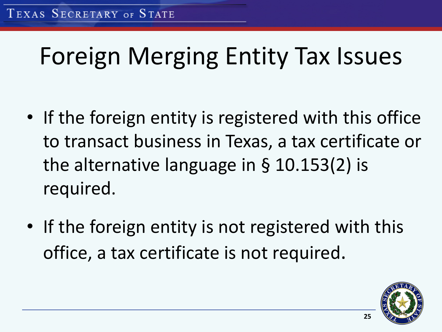# Foreign Merging Entity Tax Issues

- If the foreign entity is registered with this office to transact business in Texas, a tax certificate or the alternative language in § 10.153(2) is required.
- If the foreign entity is not registered with this office, a tax certificate is not required.